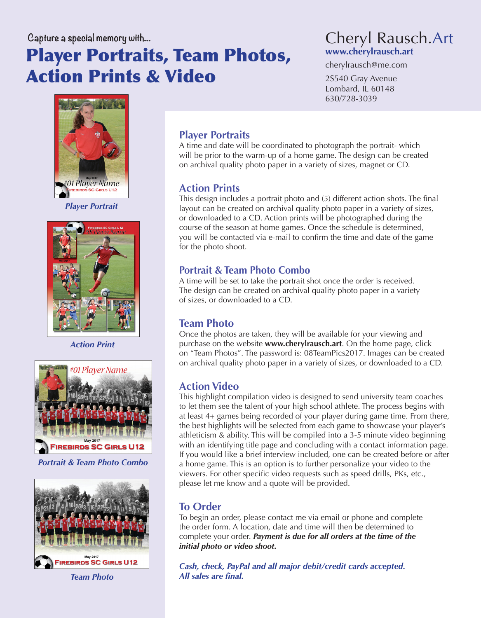# Player Portraits, Team Photos, Action Prints & Video



cherylrausch@me.com

2S540 Gray Avenue Lombard, IL 60148 630/728-3039



*Player Portrait*



*Action Print*



*Portrait & Team Photo Combo*



*Team Photo*

# **Player Portraits**

A time and date will be coordinated to photograph the portrait- which will be prior to the warm-up of a home game. The design can be created on archival quality photo paper in a variety of sizes, magnet or CD.

#### **Action Prints**

This design includes a portrait photo and (5) different action shots. The final layout can be created on archival quality photo paper in a variety of sizes, or downloaded to a CD. Action prints will be photographed during the course of the season at home games. Once the schedule is determined, you will be contacted via e-mail to confirm the time and date of the game for the photo shoot.

#### **Portrait & Team Photo Combo**

A time will be set to take the portrait shot once the order is received. The design can be created on archival quality photo paper in a variety of sizes, or downloaded to a CD.

#### **Team Photo**

Once the photos are taken, they will be available for your viewing and purchase on the website **www.cherylrausch.art**. On the home page, click on "Team Photos". The password is: 08TeamPics2017. Images can be created on archival quality photo paper in a variety of sizes, or downloaded to a CD.

## **Action Video**

This highlight compilation video is designed to send university team coaches to let them see the talent of your high school athlete. The process begins with at least 4+ games being recorded of your player during game time. From there, the best highlights will be selected from each game to showcase your player's athleticism & ability. This will be compiled into a 3-5 minute video beginning with an identifying title page and concluding with a contact information page. If you would like a brief interview included, one can be created before or after a home game. This is an option is to further personalize your video to the viewers. For other specific video requests such as speed drills, PKs, etc., please let me know and a quote will be provided.

## **To Order**

To begin an order, please contact me via email or phone and complete the order form. A location, date and time will then be determined to complete your order. *Payment is due for all orders at the time of the initial photo or video shoot.*

*Cash, check, PayPal and all major debit/credit cards accepted. All sales are final.*